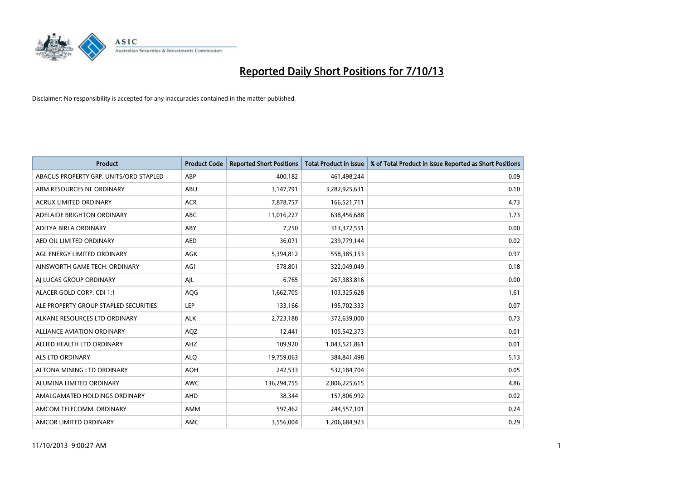

| <b>Product</b>                         | <b>Product Code</b> | <b>Reported Short Positions</b> | <b>Total Product in Issue</b> | % of Total Product in Issue Reported as Short Positions |
|----------------------------------------|---------------------|---------------------------------|-------------------------------|---------------------------------------------------------|
| ABACUS PROPERTY GRP. UNITS/ORD STAPLED | ABP                 | 400,182                         | 461,498,244                   | 0.09                                                    |
| ABM RESOURCES NL ORDINARY              | ABU                 | 3,147,791                       | 3,282,925,631                 | 0.10                                                    |
| <b>ACRUX LIMITED ORDINARY</b>          | <b>ACR</b>          | 7,878,757                       | 166,521,711                   | 4.73                                                    |
| ADELAIDE BRIGHTON ORDINARY             | <b>ABC</b>          | 11,016,227                      | 638,456,688                   | 1.73                                                    |
| ADITYA BIRLA ORDINARY                  | ABY                 | 7,250                           | 313,372,551                   | 0.00                                                    |
| AED OIL LIMITED ORDINARY               | <b>AED</b>          | 36,071                          | 239,779,144                   | 0.02                                                    |
| AGL ENERGY LIMITED ORDINARY            | AGK                 | 5,394,812                       | 558,385,153                   | 0.97                                                    |
| AINSWORTH GAME TECH. ORDINARY          | AGI                 | 578,801                         | 322,049,049                   | 0.18                                                    |
| AI LUCAS GROUP ORDINARY                | AJL                 | 6,765                           | 267,383,816                   | 0.00                                                    |
| ALACER GOLD CORP. CDI 1:1              | AQG                 | 1,662,705                       | 103,325,628                   | 1.61                                                    |
| ALE PROPERTY GROUP STAPLED SECURITIES  | <b>LEP</b>          | 133,166                         | 195,702,333                   | 0.07                                                    |
| ALKANE RESOURCES LTD ORDINARY          | <b>ALK</b>          | 2,723,188                       | 372,639,000                   | 0.73                                                    |
| <b>ALLIANCE AVIATION ORDINARY</b>      | AQZ                 | 12,441                          | 105,542,373                   | 0.01                                                    |
| ALLIED HEALTH LTD ORDINARY             | AHZ                 | 109,920                         | 1,043,521,861                 | 0.01                                                    |
| ALS LTD ORDINARY                       | <b>ALQ</b>          | 19,759,063                      | 384,841,498                   | 5.13                                                    |
| ALTONA MINING LTD ORDINARY             | <b>AOH</b>          | 242,533                         | 532,184,704                   | 0.05                                                    |
| ALUMINA LIMITED ORDINARY               | <b>AWC</b>          | 136,294,755                     | 2,806,225,615                 | 4.86                                                    |
| AMALGAMATED HOLDINGS ORDINARY          | AHD                 | 38,344                          | 157,806,992                   | 0.02                                                    |
| AMCOM TELECOMM, ORDINARY               | AMM                 | 597,462                         | 244,557,101                   | 0.24                                                    |
| AMCOR LIMITED ORDINARY                 | AMC                 | 3,556,004                       | 1,206,684,923                 | 0.29                                                    |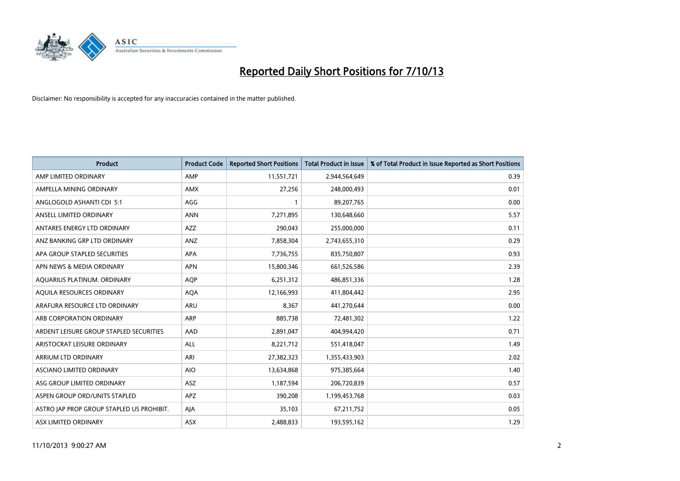

| <b>Product</b>                            | <b>Product Code</b> | <b>Reported Short Positions</b> | <b>Total Product in Issue</b> | % of Total Product in Issue Reported as Short Positions |
|-------------------------------------------|---------------------|---------------------------------|-------------------------------|---------------------------------------------------------|
| AMP LIMITED ORDINARY                      | AMP                 | 11,551,721                      | 2,944,564,649                 | 0.39                                                    |
| AMPELLA MINING ORDINARY                   | AMX                 | 27,256                          | 248,000,493                   | 0.01                                                    |
| ANGLOGOLD ASHANTI CDI 5:1                 | AGG                 | 1                               | 89,207,765                    | 0.00                                                    |
| ANSELL LIMITED ORDINARY                   | <b>ANN</b>          | 7,271,895                       | 130,648,660                   | 5.57                                                    |
| ANTARES ENERGY LTD ORDINARY               | AZZ                 | 290,043                         | 255,000,000                   | 0.11                                                    |
| ANZ BANKING GRP LTD ORDINARY              | ANZ                 | 7,858,304                       | 2,743,655,310                 | 0.29                                                    |
| APA GROUP STAPLED SECURITIES              | APA                 | 7,736,755                       | 835,750,807                   | 0.93                                                    |
| APN NEWS & MEDIA ORDINARY                 | <b>APN</b>          | 15,800,346                      | 661,526,586                   | 2.39                                                    |
| AQUARIUS PLATINUM. ORDINARY               | <b>AOP</b>          | 6,251,312                       | 486,851,336                   | 1.28                                                    |
| AQUILA RESOURCES ORDINARY                 | <b>AQA</b>          | 12,166,993                      | 411,804,442                   | 2.95                                                    |
| ARAFURA RESOURCE LTD ORDINARY             | ARU                 | 8,367                           | 441,270,644                   | 0.00                                                    |
| ARB CORPORATION ORDINARY                  | <b>ARP</b>          | 885,738                         | 72,481,302                    | 1.22                                                    |
| ARDENT LEISURE GROUP STAPLED SECURITIES   | AAD                 | 2,891,047                       | 404,994,420                   | 0.71                                                    |
| ARISTOCRAT LEISURE ORDINARY               | ALL                 | 8,221,712                       | 551,418,047                   | 1.49                                                    |
| <b>ARRIUM LTD ORDINARY</b>                | ARI                 | 27,382,323                      | 1,355,433,903                 | 2.02                                                    |
| ASCIANO LIMITED ORDINARY                  | <b>AIO</b>          | 13,634,868                      | 975,385,664                   | 1.40                                                    |
| ASG GROUP LIMITED ORDINARY                | ASZ                 | 1,187,594                       | 206,720,839                   | 0.57                                                    |
| ASPEN GROUP ORD/UNITS STAPLED             | <b>APZ</b>          | 390,208                         | 1,199,453,768                 | 0.03                                                    |
| ASTRO JAP PROP GROUP STAPLED US PROHIBIT. | AJA                 | 35,103                          | 67,211,752                    | 0.05                                                    |
| ASX LIMITED ORDINARY                      | ASX                 | 2,488,833                       | 193,595,162                   | 1.29                                                    |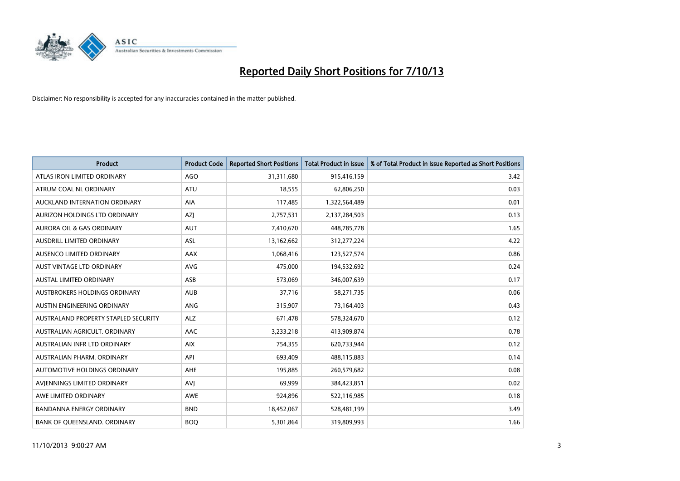

| <b>Product</b>                       | <b>Product Code</b> | <b>Reported Short Positions</b> | <b>Total Product in Issue</b> | % of Total Product in Issue Reported as Short Positions |
|--------------------------------------|---------------------|---------------------------------|-------------------------------|---------------------------------------------------------|
| ATLAS IRON LIMITED ORDINARY          | <b>AGO</b>          | 31,311,680                      | 915,416,159                   | 3.42                                                    |
| ATRUM COAL NL ORDINARY               | <b>ATU</b>          | 18,555                          | 62,806,250                    | 0.03                                                    |
| AUCKLAND INTERNATION ORDINARY        | AIA                 | 117,485                         | 1,322,564,489                 | 0.01                                                    |
| AURIZON HOLDINGS LTD ORDINARY        | <b>AZI</b>          | 2,757,531                       | 2,137,284,503                 | 0.13                                                    |
| <b>AURORA OIL &amp; GAS ORDINARY</b> | <b>AUT</b>          | 7,410,670                       | 448,785,778                   | 1.65                                                    |
| <b>AUSDRILL LIMITED ORDINARY</b>     | ASL                 | 13,162,662                      | 312,277,224                   | 4.22                                                    |
| AUSENCO LIMITED ORDINARY             | AAX                 | 1,068,416                       | 123,527,574                   | 0.86                                                    |
| <b>AUST VINTAGE LTD ORDINARY</b>     | AVG                 | 475,000                         | 194,532,692                   | 0.24                                                    |
| AUSTAL LIMITED ORDINARY              | ASB                 | 573,069                         | 346,007,639                   | 0.17                                                    |
| AUSTBROKERS HOLDINGS ORDINARY        | <b>AUB</b>          | 37,716                          | 58,271,735                    | 0.06                                                    |
| AUSTIN ENGINEERING ORDINARY          | <b>ANG</b>          | 315,907                         | 73,164,403                    | 0.43                                                    |
| AUSTRALAND PROPERTY STAPLED SECURITY | <b>ALZ</b>          | 671,478                         | 578,324,670                   | 0.12                                                    |
| AUSTRALIAN AGRICULT, ORDINARY        | AAC                 | 3,233,218                       | 413,909,874                   | 0.78                                                    |
| AUSTRALIAN INFR LTD ORDINARY         | <b>AIX</b>          | 754,355                         | 620,733,944                   | 0.12                                                    |
| AUSTRALIAN PHARM, ORDINARY           | API                 | 693,409                         | 488,115,883                   | 0.14                                                    |
| AUTOMOTIVE HOLDINGS ORDINARY         | AHE                 | 195,885                         | 260,579,682                   | 0.08                                                    |
| AVIENNINGS LIMITED ORDINARY          | <b>AVJ</b>          | 69,999                          | 384,423,851                   | 0.02                                                    |
| AWE LIMITED ORDINARY                 | <b>AWE</b>          | 924,896                         | 522,116,985                   | 0.18                                                    |
| <b>BANDANNA ENERGY ORDINARY</b>      | <b>BND</b>          | 18,452,067                      | 528,481,199                   | 3.49                                                    |
| BANK OF QUEENSLAND. ORDINARY         | <b>BOO</b>          | 5,301,864                       | 319,809,993                   | 1.66                                                    |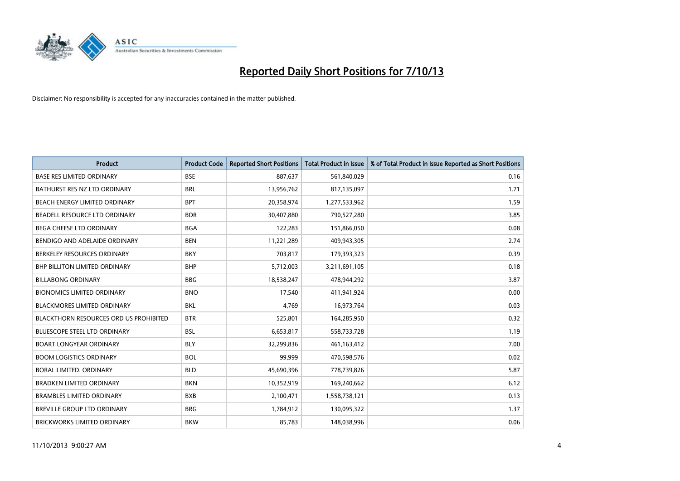

| <b>Product</b>                                | <b>Product Code</b> | <b>Reported Short Positions</b> | <b>Total Product in Issue</b> | % of Total Product in Issue Reported as Short Positions |
|-----------------------------------------------|---------------------|---------------------------------|-------------------------------|---------------------------------------------------------|
| <b>BASE RES LIMITED ORDINARY</b>              | <b>BSE</b>          | 887,637                         | 561,840,029                   | 0.16                                                    |
| BATHURST RES NZ LTD ORDINARY                  | <b>BRL</b>          | 13,956,762                      | 817,135,097                   | 1.71                                                    |
| BEACH ENERGY LIMITED ORDINARY                 | <b>BPT</b>          | 20,358,974                      | 1,277,533,962                 | 1.59                                                    |
| BEADELL RESOURCE LTD ORDINARY                 | <b>BDR</b>          | 30,407,880                      | 790,527,280                   | 3.85                                                    |
| <b>BEGA CHEESE LTD ORDINARY</b>               | <b>BGA</b>          | 122,283                         | 151,866,050                   | 0.08                                                    |
| BENDIGO AND ADELAIDE ORDINARY                 | <b>BEN</b>          | 11,221,289                      | 409,943,305                   | 2.74                                                    |
| BERKELEY RESOURCES ORDINARY                   | <b>BKY</b>          | 703,817                         | 179,393,323                   | 0.39                                                    |
| <b>BHP BILLITON LIMITED ORDINARY</b>          | <b>BHP</b>          | 5,712,003                       | 3,211,691,105                 | 0.18                                                    |
| <b>BILLABONG ORDINARY</b>                     | <b>BBG</b>          | 18,538,247                      | 478,944,292                   | 3.87                                                    |
| <b>BIONOMICS LIMITED ORDINARY</b>             | <b>BNO</b>          | 17,540                          | 411,941,924                   | 0.00                                                    |
| BLACKMORES LIMITED ORDINARY                   | <b>BKL</b>          | 4,769                           | 16,973,764                    | 0.03                                                    |
| <b>BLACKTHORN RESOURCES ORD US PROHIBITED</b> | <b>BTR</b>          | 525,801                         | 164,285,950                   | 0.32                                                    |
| <b>BLUESCOPE STEEL LTD ORDINARY</b>           | <b>BSL</b>          | 6,653,817                       | 558,733,728                   | 1.19                                                    |
| <b>BOART LONGYEAR ORDINARY</b>                | <b>BLY</b>          | 32,299,836                      | 461,163,412                   | 7.00                                                    |
| <b>BOOM LOGISTICS ORDINARY</b>                | <b>BOL</b>          | 99,999                          | 470,598,576                   | 0.02                                                    |
| BORAL LIMITED. ORDINARY                       | <b>BLD</b>          | 45,690,396                      | 778,739,826                   | 5.87                                                    |
| <b>BRADKEN LIMITED ORDINARY</b>               | <b>BKN</b>          | 10,352,919                      | 169,240,662                   | 6.12                                                    |
| <b>BRAMBLES LIMITED ORDINARY</b>              | <b>BXB</b>          | 2,100,471                       | 1,558,738,121                 | 0.13                                                    |
| <b>BREVILLE GROUP LTD ORDINARY</b>            | <b>BRG</b>          | 1,784,912                       | 130,095,322                   | 1.37                                                    |
| BRICKWORKS LIMITED ORDINARY                   | <b>BKW</b>          | 85,783                          | 148,038,996                   | 0.06                                                    |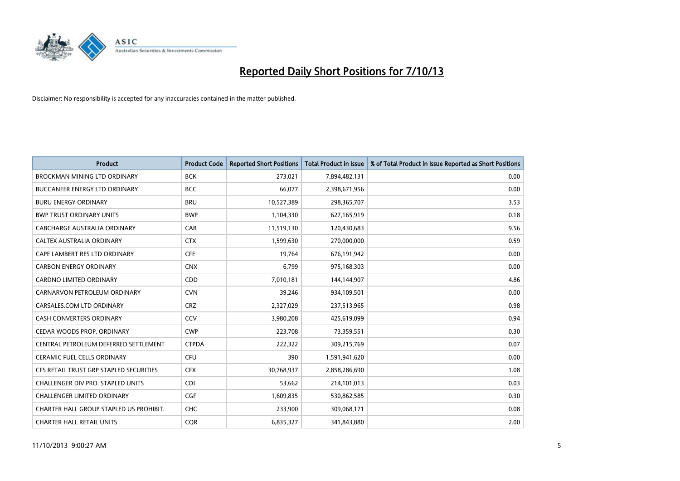

| <b>Product</b>                          | <b>Product Code</b> | <b>Reported Short Positions</b> | <b>Total Product in Issue</b> | % of Total Product in Issue Reported as Short Positions |
|-----------------------------------------|---------------------|---------------------------------|-------------------------------|---------------------------------------------------------|
| <b>BROCKMAN MINING LTD ORDINARY</b>     | <b>BCK</b>          | 273,021                         | 7,894,482,131                 | 0.00                                                    |
| <b>BUCCANEER ENERGY LTD ORDINARY</b>    | <b>BCC</b>          | 66,077                          | 2,398,671,956                 | 0.00                                                    |
| <b>BURU ENERGY ORDINARY</b>             | <b>BRU</b>          | 10,527,389                      | 298,365,707                   | 3.53                                                    |
| <b>BWP TRUST ORDINARY UNITS</b>         | <b>BWP</b>          | 1,104,330                       | 627,165,919                   | 0.18                                                    |
| CABCHARGE AUSTRALIA ORDINARY            | CAB                 | 11,519,130                      | 120,430,683                   | 9.56                                                    |
| CALTEX AUSTRALIA ORDINARY               | <b>CTX</b>          | 1,599,630                       | 270,000,000                   | 0.59                                                    |
| CAPE LAMBERT RES LTD ORDINARY           | <b>CFE</b>          | 19,764                          | 676,191,942                   | 0.00                                                    |
| <b>CARBON ENERGY ORDINARY</b>           | <b>CNX</b>          | 6,799                           | 975,168,303                   | 0.00                                                    |
| <b>CARDNO LIMITED ORDINARY</b>          | CDD                 | 7,010,181                       | 144,144,907                   | 4.86                                                    |
| CARNARVON PETROLEUM ORDINARY            | <b>CVN</b>          | 39,246                          | 934,109,501                   | 0.00                                                    |
| CARSALES.COM LTD ORDINARY               | <b>CRZ</b>          | 2,327,029                       | 237,513,965                   | 0.98                                                    |
| <b>CASH CONVERTERS ORDINARY</b>         | CCV                 | 3,980,208                       | 425,619,099                   | 0.94                                                    |
| CEDAR WOODS PROP. ORDINARY              | <b>CWP</b>          | 223,708                         | 73,359,551                    | 0.30                                                    |
| CENTRAL PETROLEUM DEFERRED SETTLEMENT   | <b>CTPDA</b>        | 222,322                         | 309,215,769                   | 0.07                                                    |
| <b>CERAMIC FUEL CELLS ORDINARY</b>      | <b>CFU</b>          | 390                             | 1,591,941,620                 | 0.00                                                    |
| CFS RETAIL TRUST GRP STAPLED SECURITIES | <b>CFX</b>          | 30,768,937                      | 2,858,286,690                 | 1.08                                                    |
| CHALLENGER DIV.PRO. STAPLED UNITS       | <b>CDI</b>          | 53,662                          | 214,101,013                   | 0.03                                                    |
| <b>CHALLENGER LIMITED ORDINARY</b>      | <b>CGF</b>          | 1,609,835                       | 530,862,585                   | 0.30                                                    |
| CHARTER HALL GROUP STAPLED US PROHIBIT. | <b>CHC</b>          | 233,900                         | 309,068,171                   | 0.08                                                    |
| <b>CHARTER HALL RETAIL UNITS</b>        | <b>COR</b>          | 6,835,327                       | 341,843,880                   | 2.00                                                    |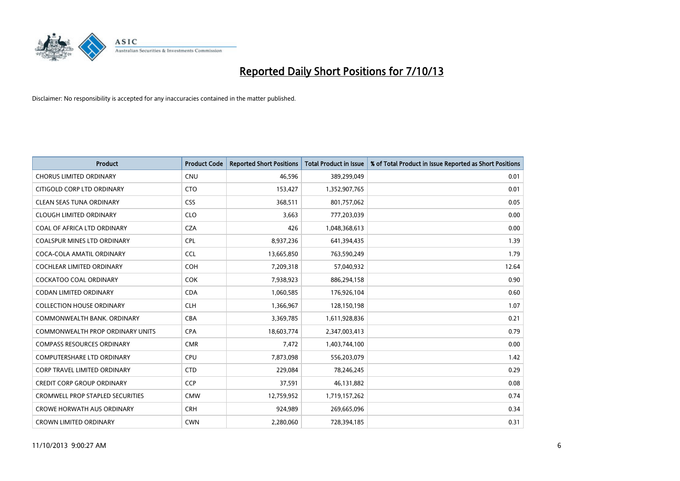

| <b>Product</b>                          | <b>Product Code</b> | <b>Reported Short Positions</b> | <b>Total Product in Issue</b> | % of Total Product in Issue Reported as Short Positions |
|-----------------------------------------|---------------------|---------------------------------|-------------------------------|---------------------------------------------------------|
| <b>CHORUS LIMITED ORDINARY</b>          | <b>CNU</b>          | 46,596                          | 389,299,049                   | 0.01                                                    |
| CITIGOLD CORP LTD ORDINARY              | <b>CTO</b>          | 153,427                         | 1,352,907,765                 | 0.01                                                    |
| <b>CLEAN SEAS TUNA ORDINARY</b>         | <b>CSS</b>          | 368,511                         | 801,757,062                   | 0.05                                                    |
| <b>CLOUGH LIMITED ORDINARY</b>          | <b>CLO</b>          | 3,663                           | 777,203,039                   | 0.00                                                    |
| COAL OF AFRICA LTD ORDINARY             | <b>CZA</b>          | 426                             | 1,048,368,613                 | 0.00                                                    |
| <b>COALSPUR MINES LTD ORDINARY</b>      | <b>CPL</b>          | 8,937,236                       | 641,394,435                   | 1.39                                                    |
| COCA-COLA AMATIL ORDINARY               | <b>CCL</b>          | 13,665,850                      | 763,590,249                   | 1.79                                                    |
| COCHLEAR LIMITED ORDINARY               | <b>COH</b>          | 7,209,318                       | 57,040,932                    | 12.64                                                   |
| <b>COCKATOO COAL ORDINARY</b>           | <b>COK</b>          | 7,938,923                       | 886,294,158                   | 0.90                                                    |
| <b>CODAN LIMITED ORDINARY</b>           | <b>CDA</b>          | 1,060,585                       | 176,926,104                   | 0.60                                                    |
| <b>COLLECTION HOUSE ORDINARY</b>        | <b>CLH</b>          | 1,366,967                       | 128,150,198                   | 1.07                                                    |
| COMMONWEALTH BANK, ORDINARY             | <b>CBA</b>          | 3,369,785                       | 1,611,928,836                 | 0.21                                                    |
| <b>COMMONWEALTH PROP ORDINARY UNITS</b> | <b>CPA</b>          | 18,603,774                      | 2,347,003,413                 | 0.79                                                    |
| <b>COMPASS RESOURCES ORDINARY</b>       | <b>CMR</b>          | 7,472                           | 1,403,744,100                 | 0.00                                                    |
| <b>COMPUTERSHARE LTD ORDINARY</b>       | <b>CPU</b>          | 7,873,098                       | 556,203,079                   | 1.42                                                    |
| CORP TRAVEL LIMITED ORDINARY            | <b>CTD</b>          | 229,084                         | 78,246,245                    | 0.29                                                    |
| <b>CREDIT CORP GROUP ORDINARY</b>       | <b>CCP</b>          | 37,591                          | 46,131,882                    | 0.08                                                    |
| <b>CROMWELL PROP STAPLED SECURITIES</b> | <b>CMW</b>          | 12,759,952                      | 1,719,157,262                 | 0.74                                                    |
| <b>CROWE HORWATH AUS ORDINARY</b>       | <b>CRH</b>          | 924,989                         | 269,665,096                   | 0.34                                                    |
| <b>CROWN LIMITED ORDINARY</b>           | <b>CWN</b>          | 2,280,060                       | 728,394,185                   | 0.31                                                    |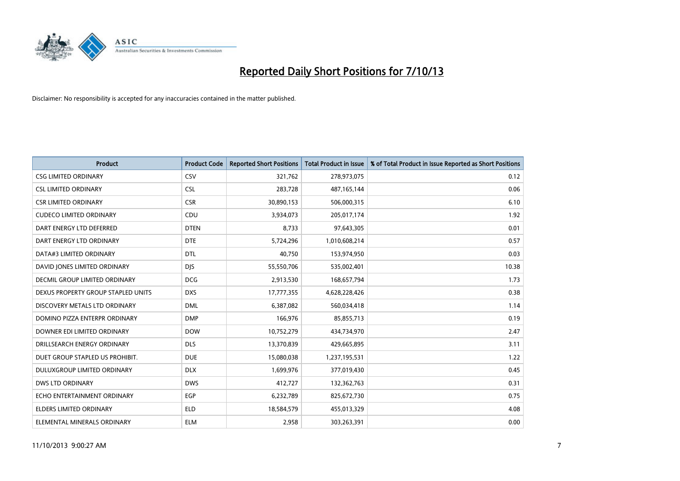

| <b>Product</b>                     | <b>Product Code</b> | <b>Reported Short Positions</b> | <b>Total Product in Issue</b> | % of Total Product in Issue Reported as Short Positions |
|------------------------------------|---------------------|---------------------------------|-------------------------------|---------------------------------------------------------|
| <b>CSG LIMITED ORDINARY</b>        | CSV                 | 321,762                         | 278,973,075                   | 0.12                                                    |
| <b>CSL LIMITED ORDINARY</b>        | <b>CSL</b>          | 283,728                         | 487,165,144                   | 0.06                                                    |
| <b>CSR LIMITED ORDINARY</b>        | <b>CSR</b>          | 30,890,153                      | 506,000,315                   | 6.10                                                    |
| <b>CUDECO LIMITED ORDINARY</b>     | CDU                 | 3,934,073                       | 205,017,174                   | 1.92                                                    |
| DART ENERGY LTD DEFERRED           | <b>DTEN</b>         | 8,733                           | 97,643,305                    | 0.01                                                    |
| DART ENERGY LTD ORDINARY           | <b>DTE</b>          | 5,724,296                       | 1,010,608,214                 | 0.57                                                    |
| DATA#3 LIMITED ORDINARY            | <b>DTL</b>          | 40,750                          | 153,974,950                   | 0.03                                                    |
| DAVID JONES LIMITED ORDINARY       | <b>DJS</b>          | 55,550,706                      | 535,002,401                   | 10.38                                                   |
| DECMIL GROUP LIMITED ORDINARY      | <b>DCG</b>          | 2,913,530                       | 168,657,794                   | 1.73                                                    |
| DEXUS PROPERTY GROUP STAPLED UNITS | <b>DXS</b>          | 17,777,355                      | 4,628,228,426                 | 0.38                                                    |
| DISCOVERY METALS LTD ORDINARY      | <b>DML</b>          | 6,387,082                       | 560,034,418                   | 1.14                                                    |
| DOMINO PIZZA ENTERPR ORDINARY      | <b>DMP</b>          | 166,976                         | 85,855,713                    | 0.19                                                    |
| DOWNER EDI LIMITED ORDINARY        | <b>DOW</b>          | 10,752,279                      | 434,734,970                   | 2.47                                                    |
| DRILLSEARCH ENERGY ORDINARY        | <b>DLS</b>          | 13,370,839                      | 429,665,895                   | 3.11                                                    |
| DUET GROUP STAPLED US PROHIBIT.    | <b>DUE</b>          | 15,080,038                      | 1,237,195,531                 | 1.22                                                    |
| DULUXGROUP LIMITED ORDINARY        | <b>DLX</b>          | 1,699,976                       | 377,019,430                   | 0.45                                                    |
| <b>DWS LTD ORDINARY</b>            | <b>DWS</b>          | 412,727                         | 132,362,763                   | 0.31                                                    |
| ECHO ENTERTAINMENT ORDINARY        | <b>EGP</b>          | 6,232,789                       | 825,672,730                   | 0.75                                                    |
| <b>ELDERS LIMITED ORDINARY</b>     | <b>ELD</b>          | 18,584,579                      | 455,013,329                   | 4.08                                                    |
| ELEMENTAL MINERALS ORDINARY        | <b>ELM</b>          | 2,958                           | 303,263,391                   | 0.00                                                    |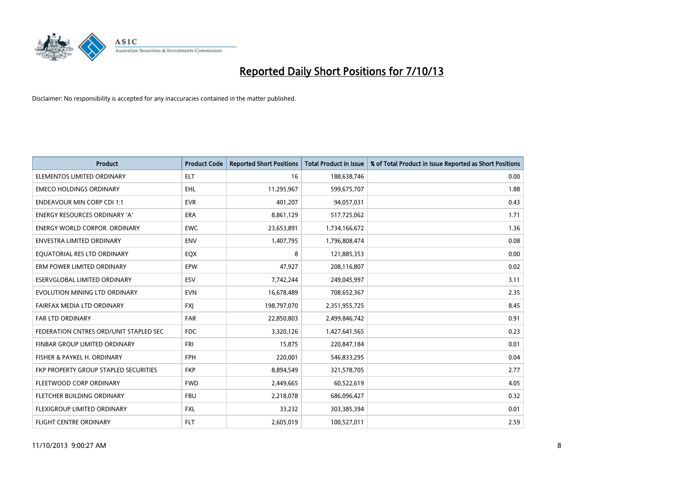

| <b>Product</b>                         | <b>Product Code</b> | <b>Reported Short Positions</b> | <b>Total Product in Issue</b> | % of Total Product in Issue Reported as Short Positions |
|----------------------------------------|---------------------|---------------------------------|-------------------------------|---------------------------------------------------------|
| ELEMENTOS LIMITED ORDINARY             | <b>ELT</b>          | 16                              | 188,638,746                   | 0.00                                                    |
| <b>EMECO HOLDINGS ORDINARY</b>         | <b>EHL</b>          | 11,295,967                      | 599,675,707                   | 1.88                                                    |
| <b>ENDEAVOUR MIN CORP CDI 1:1</b>      | <b>EVR</b>          | 401,207                         | 94,057,031                    | 0.43                                                    |
| <b>ENERGY RESOURCES ORDINARY 'A'</b>   | <b>ERA</b>          | 8,861,129                       | 517,725,062                   | 1.71                                                    |
| <b>ENERGY WORLD CORPOR, ORDINARY</b>   | <b>EWC</b>          | 23,653,891                      | 1,734,166,672                 | 1.36                                                    |
| <b>ENVESTRA LIMITED ORDINARY</b>       | <b>ENV</b>          | 1,407,795                       | 1,796,808,474                 | 0.08                                                    |
| EQUATORIAL RES LTD ORDINARY            | EQX                 | 8                               | 121,885,353                   | 0.00                                                    |
| ERM POWER LIMITED ORDINARY             | EPW                 | 47,927                          | 208,116,807                   | 0.02                                                    |
| ESERVGLOBAL LIMITED ORDINARY           | ESV                 | 7,742,244                       | 249,045,997                   | 3.11                                                    |
| EVOLUTION MINING LTD ORDINARY          | <b>EVN</b>          | 16,678,489                      | 708,652,367                   | 2.35                                                    |
| FAIRFAX MEDIA LTD ORDINARY             | <b>FXJ</b>          | 198,797,070                     | 2,351,955,725                 | 8.45                                                    |
| FAR LTD ORDINARY                       | <b>FAR</b>          | 22,850,803                      | 2,499,846,742                 | 0.91                                                    |
| FEDERATION CNTRES ORD/UNIT STAPLED SEC | <b>FDC</b>          | 3,320,126                       | 1,427,641,565                 | 0.23                                                    |
| FINBAR GROUP LIMITED ORDINARY          | <b>FRI</b>          | 15,875                          | 220,847,184                   | 0.01                                                    |
| FISHER & PAYKEL H. ORDINARY            | <b>FPH</b>          | 220,001                         | 546,833,295                   | 0.04                                                    |
| FKP PROPERTY GROUP STAPLED SECURITIES  | <b>FKP</b>          | 8,894,549                       | 321,578,705                   | 2.77                                                    |
| FLEETWOOD CORP ORDINARY                | <b>FWD</b>          | 2,449,665                       | 60,522,619                    | 4.05                                                    |
| FLETCHER BUILDING ORDINARY             | <b>FBU</b>          | 2,218,078                       | 686,096,427                   | 0.32                                                    |
| FLEXIGROUP LIMITED ORDINARY            | <b>FXL</b>          | 33,232                          | 303,385,394                   | 0.01                                                    |
| <b>FLIGHT CENTRE ORDINARY</b>          | <b>FLT</b>          | 2,605,019                       | 100,527,011                   | 2.59                                                    |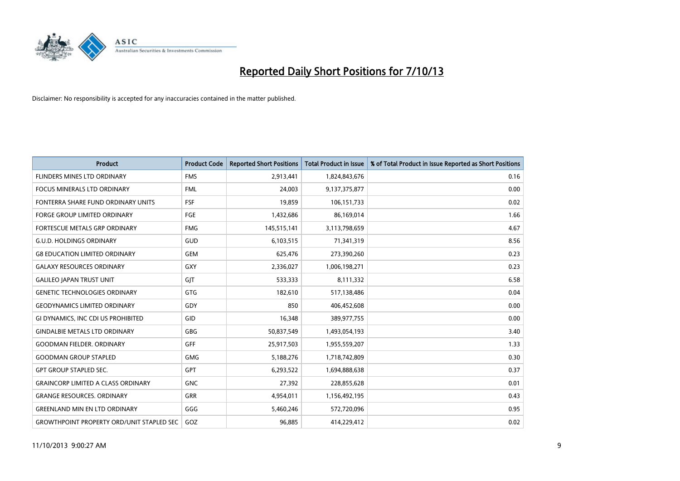

| <b>Product</b>                                   | <b>Product Code</b> | <b>Reported Short Positions</b> | <b>Total Product in Issue</b> | % of Total Product in Issue Reported as Short Positions |
|--------------------------------------------------|---------------------|---------------------------------|-------------------------------|---------------------------------------------------------|
| FLINDERS MINES LTD ORDINARY                      | <b>FMS</b>          | 2,913,441                       | 1,824,843,676                 | 0.16                                                    |
| FOCUS MINERALS LTD ORDINARY                      | <b>FML</b>          | 24,003                          | 9,137,375,877                 | 0.00                                                    |
| FONTERRA SHARE FUND ORDINARY UNITS               | <b>FSF</b>          | 19,859                          | 106,151,733                   | 0.02                                                    |
| FORGE GROUP LIMITED ORDINARY                     | <b>FGE</b>          | 1,432,686                       | 86,169,014                    | 1.66                                                    |
| <b>FORTESCUE METALS GRP ORDINARY</b>             | <b>FMG</b>          | 145,515,141                     | 3,113,798,659                 | 4.67                                                    |
| <b>G.U.D. HOLDINGS ORDINARY</b>                  | GUD                 | 6,103,515                       | 71,341,319                    | 8.56                                                    |
| <b>G8 EDUCATION LIMITED ORDINARY</b>             | <b>GEM</b>          | 625,476                         | 273,390,260                   | 0.23                                                    |
| <b>GALAXY RESOURCES ORDINARY</b>                 | <b>GXY</b>          | 2,336,027                       | 1,006,198,271                 | 0.23                                                    |
| <b>GALILEO JAPAN TRUST UNIT</b>                  | GIT                 | 533,333                         | 8,111,332                     | 6.58                                                    |
| <b>GENETIC TECHNOLOGIES ORDINARY</b>             | <b>GTG</b>          | 182,610                         | 517,138,486                   | 0.04                                                    |
| <b>GEODYNAMICS LIMITED ORDINARY</b>              | GDY                 | 850                             | 406,452,608                   | 0.00                                                    |
| GI DYNAMICS, INC CDI US PROHIBITED               | GID                 | 16,348                          | 389,977,755                   | 0.00                                                    |
| <b>GINDALBIE METALS LTD ORDINARY</b>             | GBG                 | 50,837,549                      | 1,493,054,193                 | 3.40                                                    |
| <b>GOODMAN FIELDER, ORDINARY</b>                 | GFF                 | 25,917,503                      | 1,955,559,207                 | 1.33                                                    |
| <b>GOODMAN GROUP STAPLED</b>                     | <b>GMG</b>          | 5,188,276                       | 1,718,742,809                 | 0.30                                                    |
| <b>GPT GROUP STAPLED SEC.</b>                    | GPT                 | 6,293,522                       | 1,694,888,638                 | 0.37                                                    |
| <b>GRAINCORP LIMITED A CLASS ORDINARY</b>        | <b>GNC</b>          | 27,392                          | 228,855,628                   | 0.01                                                    |
| <b>GRANGE RESOURCES. ORDINARY</b>                | <b>GRR</b>          | 4,954,011                       | 1,156,492,195                 | 0.43                                                    |
| <b>GREENLAND MIN EN LTD ORDINARY</b>             | GGG                 | 5,460,246                       | 572,720,096                   | 0.95                                                    |
| <b>GROWTHPOINT PROPERTY ORD/UNIT STAPLED SEC</b> | GOZ                 | 96,885                          | 414,229,412                   | 0.02                                                    |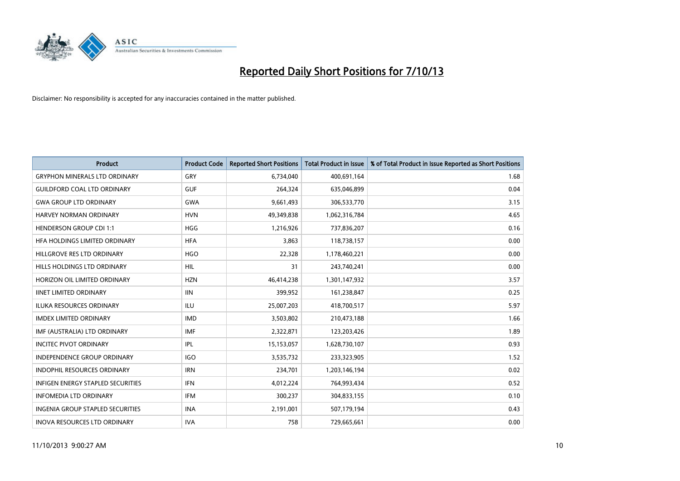

| <b>Product</b>                          | <b>Product Code</b> | <b>Reported Short Positions</b> | <b>Total Product in Issue</b> | % of Total Product in Issue Reported as Short Positions |
|-----------------------------------------|---------------------|---------------------------------|-------------------------------|---------------------------------------------------------|
| <b>GRYPHON MINERALS LTD ORDINARY</b>    | GRY                 | 6,734,040                       | 400,691,164                   | 1.68                                                    |
| <b>GUILDFORD COAL LTD ORDINARY</b>      | <b>GUF</b>          | 264,324                         | 635,046,899                   | 0.04                                                    |
| <b>GWA GROUP LTD ORDINARY</b>           | <b>GWA</b>          | 9,661,493                       | 306,533,770                   | 3.15                                                    |
| <b>HARVEY NORMAN ORDINARY</b>           | <b>HVN</b>          | 49,349,838                      | 1,062,316,784                 | 4.65                                                    |
| <b>HENDERSON GROUP CDI 1:1</b>          | <b>HGG</b>          | 1,216,926                       | 737,836,207                   | 0.16                                                    |
| HFA HOLDINGS LIMITED ORDINARY           | <b>HFA</b>          | 3,863                           | 118,738,157                   | 0.00                                                    |
| HILLGROVE RES LTD ORDINARY              | <b>HGO</b>          | 22,328                          | 1,178,460,221                 | 0.00                                                    |
| HILLS HOLDINGS LTD ORDINARY             | <b>HIL</b>          | 31                              | 243,740,241                   | 0.00                                                    |
| HORIZON OIL LIMITED ORDINARY            | <b>HZN</b>          | 46,414,238                      | 1,301,147,932                 | 3.57                                                    |
| <b>IINET LIMITED ORDINARY</b>           | <b>IIN</b>          | 399,952                         | 161,238,847                   | 0.25                                                    |
| ILUKA RESOURCES ORDINARY                | ILU                 | 25,007,203                      | 418,700,517                   | 5.97                                                    |
| <b>IMDEX LIMITED ORDINARY</b>           | <b>IMD</b>          | 3,503,802                       | 210,473,188                   | 1.66                                                    |
| IMF (AUSTRALIA) LTD ORDINARY            | <b>IMF</b>          | 2,322,871                       | 123,203,426                   | 1.89                                                    |
| <b>INCITEC PIVOT ORDINARY</b>           | IPL                 | 15,153,057                      | 1,628,730,107                 | 0.93                                                    |
| <b>INDEPENDENCE GROUP ORDINARY</b>      | <b>IGO</b>          | 3,535,732                       | 233,323,905                   | 1.52                                                    |
| INDOPHIL RESOURCES ORDINARY             | <b>IRN</b>          | 234,701                         | 1,203,146,194                 | 0.02                                                    |
| INFIGEN ENERGY STAPLED SECURITIES       | <b>IFN</b>          | 4,012,224                       | 764,993,434                   | 0.52                                                    |
| <b>INFOMEDIA LTD ORDINARY</b>           | <b>IFM</b>          | 300,237                         | 304,833,155                   | 0.10                                                    |
| <b>INGENIA GROUP STAPLED SECURITIES</b> | <b>INA</b>          | 2,191,001                       | 507,179,194                   | 0.43                                                    |
| INOVA RESOURCES LTD ORDINARY            | <b>IVA</b>          | 758                             | 729,665,661                   | 0.00                                                    |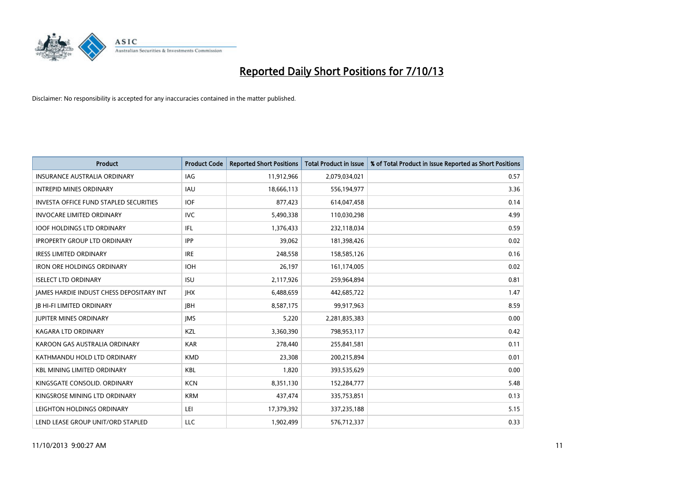

| <b>Product</b>                                  | <b>Product Code</b> | <b>Reported Short Positions</b> | <b>Total Product in Issue</b> | % of Total Product in Issue Reported as Short Positions |
|-------------------------------------------------|---------------------|---------------------------------|-------------------------------|---------------------------------------------------------|
| <b>INSURANCE AUSTRALIA ORDINARY</b>             | <b>IAG</b>          | 11,912,966                      | 2,079,034,021                 | 0.57                                                    |
| <b>INTREPID MINES ORDINARY</b>                  | <b>IAU</b>          | 18,666,113                      | 556,194,977                   | 3.36                                                    |
| <b>INVESTA OFFICE FUND STAPLED SECURITIES</b>   | <b>IOF</b>          | 877,423                         | 614,047,458                   | 0.14                                                    |
| <b>INVOCARE LIMITED ORDINARY</b>                | <b>IVC</b>          | 5,490,338                       | 110,030,298                   | 4.99                                                    |
| <b>IOOF HOLDINGS LTD ORDINARY</b>               | IFL                 | 1,376,433                       | 232,118,034                   | 0.59                                                    |
| <b>IPROPERTY GROUP LTD ORDINARY</b>             | <b>IPP</b>          | 39,062                          | 181,398,426                   | 0.02                                                    |
| <b>IRESS LIMITED ORDINARY</b>                   | <b>IRE</b>          | 248,558                         | 158,585,126                   | 0.16                                                    |
| <b>IRON ORE HOLDINGS ORDINARY</b>               | <b>IOH</b>          | 26,197                          | 161,174,005                   | 0.02                                                    |
| <b>ISELECT LTD ORDINARY</b>                     | <b>ISU</b>          | 2,117,926                       | 259,964,894                   | 0.81                                                    |
| <b>JAMES HARDIE INDUST CHESS DEPOSITARY INT</b> | <b>IHX</b>          | 6,488,659                       | 442,685,722                   | 1.47                                                    |
| <b>JB HI-FI LIMITED ORDINARY</b>                | <b>JBH</b>          | 8,587,175                       | 99,917,963                    | 8.59                                                    |
| <b>JUPITER MINES ORDINARY</b>                   | <b>IMS</b>          | 5,220                           | 2,281,835,383                 | 0.00                                                    |
| <b>KAGARA LTD ORDINARY</b>                      | KZL                 | 3,360,390                       | 798,953,117                   | 0.42                                                    |
| KAROON GAS AUSTRALIA ORDINARY                   | <b>KAR</b>          | 278,440                         | 255,841,581                   | 0.11                                                    |
| KATHMANDU HOLD LTD ORDINARY                     | <b>KMD</b>          | 23,308                          | 200,215,894                   | 0.01                                                    |
| <b>KBL MINING LIMITED ORDINARY</b>              | KBL                 | 1,820                           | 393,535,629                   | 0.00                                                    |
| KINGSGATE CONSOLID. ORDINARY                    | <b>KCN</b>          | 8,351,130                       | 152,284,777                   | 5.48                                                    |
| KINGSROSE MINING LTD ORDINARY                   | <b>KRM</b>          | 437,474                         | 335,753,851                   | 0.13                                                    |
| LEIGHTON HOLDINGS ORDINARY                      | LEI                 | 17,379,392                      | 337,235,188                   | 5.15                                                    |
| LEND LEASE GROUP UNIT/ORD STAPLED               | <b>LLC</b>          | 1,902,499                       | 576,712,337                   | 0.33                                                    |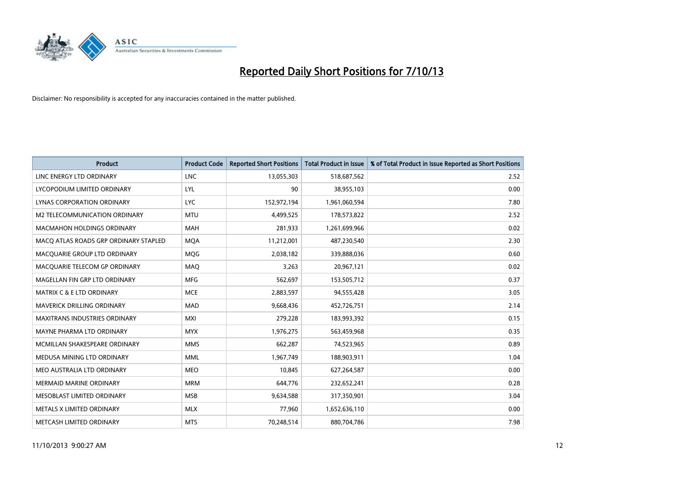

| <b>Product</b>                        | <b>Product Code</b> | <b>Reported Short Positions</b> | <b>Total Product in Issue</b> | % of Total Product in Issue Reported as Short Positions |
|---------------------------------------|---------------------|---------------------------------|-------------------------------|---------------------------------------------------------|
| LINC ENERGY LTD ORDINARY              | <b>LNC</b>          | 13,055,303                      | 518,687,562                   | 2.52                                                    |
| LYCOPODIUM LIMITED ORDINARY           | <b>LYL</b>          | 90                              | 38,955,103                    | 0.00                                                    |
| <b>LYNAS CORPORATION ORDINARY</b>     | <b>LYC</b>          | 152,972,194                     | 1,961,060,594                 | 7.80                                                    |
| M2 TELECOMMUNICATION ORDINARY         | <b>MTU</b>          | 4,499,525                       | 178,573,822                   | 2.52                                                    |
| <b>MACMAHON HOLDINGS ORDINARY</b>     | <b>MAH</b>          | 281,933                         | 1,261,699,966                 | 0.02                                                    |
| MACO ATLAS ROADS GRP ORDINARY STAPLED | <b>MQA</b>          | 11,212,001                      | 487,230,540                   | 2.30                                                    |
| MACQUARIE GROUP LTD ORDINARY          | <b>MOG</b>          | 2,038,182                       | 339,888,036                   | 0.60                                                    |
| MACQUARIE TELECOM GP ORDINARY         | <b>MAQ</b>          | 3.263                           | 20,967,121                    | 0.02                                                    |
| MAGELLAN FIN GRP LTD ORDINARY         | <b>MFG</b>          | 562,697                         | 153,505,712                   | 0.37                                                    |
| MATRIX C & E LTD ORDINARY             | <b>MCE</b>          | 2,883,597                       | 94,555,428                    | 3.05                                                    |
| MAVERICK DRILLING ORDINARY            | <b>MAD</b>          | 9,668,436                       | 452,726,751                   | 2.14                                                    |
| <b>MAXITRANS INDUSTRIES ORDINARY</b>  | <b>MXI</b>          | 279,228                         | 183,993,392                   | 0.15                                                    |
| MAYNE PHARMA LTD ORDINARY             | <b>MYX</b>          | 1,976,275                       | 563,459,968                   | 0.35                                                    |
| MCMILLAN SHAKESPEARE ORDINARY         | <b>MMS</b>          | 662,287                         | 74,523,965                    | 0.89                                                    |
| MEDUSA MINING LTD ORDINARY            | <b>MML</b>          | 1,967,749                       | 188,903,911                   | 1.04                                                    |
| MEO AUSTRALIA LTD ORDINARY            | <b>MEO</b>          | 10,845                          | 627,264,587                   | 0.00                                                    |
| MERMAID MARINE ORDINARY               | <b>MRM</b>          | 644,776                         | 232,652,241                   | 0.28                                                    |
| MESOBLAST LIMITED ORDINARY            | <b>MSB</b>          | 9,634,588                       | 317,350,901                   | 3.04                                                    |
| METALS X LIMITED ORDINARY             | <b>MLX</b>          | 77,960                          | 1,652,636,110                 | 0.00                                                    |
| METCASH LIMITED ORDINARY              | <b>MTS</b>          | 70,248,514                      | 880,704,786                   | 7.98                                                    |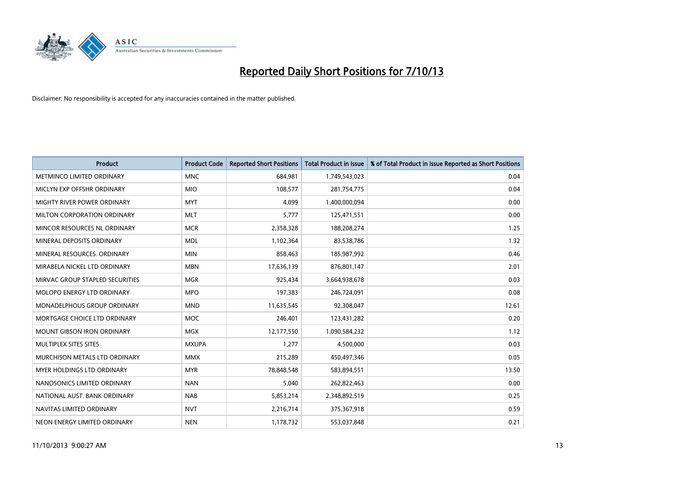

| <b>Product</b>                    | <b>Product Code</b> | <b>Reported Short Positions</b> | <b>Total Product in Issue</b> | % of Total Product in Issue Reported as Short Positions |
|-----------------------------------|---------------------|---------------------------------|-------------------------------|---------------------------------------------------------|
| METMINCO LIMITED ORDINARY         | <b>MNC</b>          | 684,981                         | 1,749,543,023                 | 0.04                                                    |
| MICLYN EXP OFFSHR ORDINARY        | <b>MIO</b>          | 108,577                         | 281,754,775                   | 0.04                                                    |
| MIGHTY RIVER POWER ORDINARY       | <b>MYT</b>          | 4,099                           | 1,400,000,094                 | 0.00                                                    |
| MILTON CORPORATION ORDINARY       | <b>MLT</b>          | 5,777                           | 125,471,551                   | 0.00                                                    |
| MINCOR RESOURCES NL ORDINARY      | <b>MCR</b>          | 2,358,328                       | 188,208,274                   | 1.25                                                    |
| MINERAL DEPOSITS ORDINARY         | <b>MDL</b>          | 1,102,364                       | 83,538,786                    | 1.32                                                    |
| MINERAL RESOURCES. ORDINARY       | <b>MIN</b>          | 858,463                         | 185,987,992                   | 0.46                                                    |
| MIRABELA NICKEL LTD ORDINARY      | <b>MBN</b>          | 17,636,139                      | 876,801,147                   | 2.01                                                    |
| MIRVAC GROUP STAPLED SECURITIES   | <b>MGR</b>          | 925,434                         | 3,664,938,678                 | 0.03                                                    |
| MOLOPO ENERGY LTD ORDINARY        | <b>MPO</b>          | 197,383                         | 246,724,091                   | 0.08                                                    |
| MONADELPHOUS GROUP ORDINARY       | <b>MND</b>          | 11,635,545                      | 92,308,047                    | 12.61                                                   |
| MORTGAGE CHOICE LTD ORDINARY      | <b>MOC</b>          | 246,401                         | 123,431,282                   | 0.20                                                    |
| <b>MOUNT GIBSON IRON ORDINARY</b> | <b>MGX</b>          | 12,177,550                      | 1,090,584,232                 | 1.12                                                    |
| MULTIPLEX SITES SITES             | <b>MXUPA</b>        | 1,277                           | 4,500,000                     | 0.03                                                    |
| MURCHISON METALS LTD ORDINARY     | <b>MMX</b>          | 215,289                         | 450,497,346                   | 0.05                                                    |
| MYER HOLDINGS LTD ORDINARY        | <b>MYR</b>          | 78,848,548                      | 583,894,551                   | 13.50                                                   |
| NANOSONICS LIMITED ORDINARY       | <b>NAN</b>          | 5,040                           | 262,822,463                   | 0.00                                                    |
| NATIONAL AUST, BANK ORDINARY      | <b>NAB</b>          | 5,853,214                       | 2,348,892,519                 | 0.25                                                    |
| NAVITAS LIMITED ORDINARY          | <b>NVT</b>          | 2,216,714                       | 375,367,918                   | 0.59                                                    |
| NEON ENERGY LIMITED ORDINARY      | <b>NEN</b>          | 1,178,732                       | 553,037,848                   | 0.21                                                    |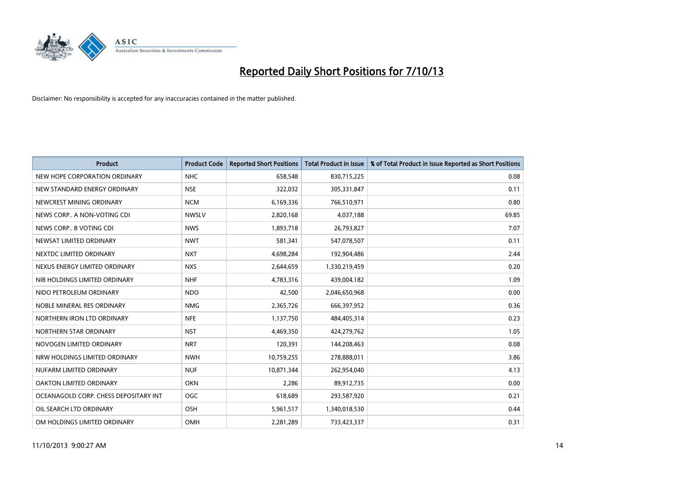

| <b>Product</b>                        | <b>Product Code</b> | <b>Reported Short Positions</b> | <b>Total Product in Issue</b> | % of Total Product in Issue Reported as Short Positions |
|---------------------------------------|---------------------|---------------------------------|-------------------------------|---------------------------------------------------------|
| NEW HOPE CORPORATION ORDINARY         | <b>NHC</b>          | 658,548                         | 830,715,225                   | 0.08                                                    |
| NEW STANDARD ENERGY ORDINARY          | <b>NSE</b>          | 322,032                         | 305,331,847                   | 0.11                                                    |
| NEWCREST MINING ORDINARY              | <b>NCM</b>          | 6,169,336                       | 766,510,971                   | 0.80                                                    |
| NEWS CORP A NON-VOTING CDI            | <b>NWSLV</b>        | 2,820,168                       | 4,037,188                     | 69.85                                                   |
| NEWS CORP B VOTING CDI                | <b>NWS</b>          | 1,893,718                       | 26,793,827                    | 7.07                                                    |
| NEWSAT LIMITED ORDINARY               | <b>NWT</b>          | 581,341                         | 547,078,507                   | 0.11                                                    |
| NEXTDC LIMITED ORDINARY               | <b>NXT</b>          | 4,698,284                       | 192,904,486                   | 2.44                                                    |
| NEXUS ENERGY LIMITED ORDINARY         | <b>NXS</b>          | 2,644,659                       | 1,330,219,459                 | 0.20                                                    |
| NIB HOLDINGS LIMITED ORDINARY         | <b>NHF</b>          | 4,783,316                       | 439,004,182                   | 1.09                                                    |
| NIDO PETROLEUM ORDINARY               | <b>NDO</b>          | 42,500                          | 2,046,650,968                 | 0.00                                                    |
| NOBLE MINERAL RES ORDINARY            | <b>NMG</b>          | 2,365,726                       | 666,397,952                   | 0.36                                                    |
| NORTHERN IRON LTD ORDINARY            | <b>NFE</b>          | 1,137,750                       | 484,405,314                   | 0.23                                                    |
| NORTHERN STAR ORDINARY                | <b>NST</b>          | 4,469,350                       | 424,279,762                   | 1.05                                                    |
| NOVOGEN LIMITED ORDINARY              | <b>NRT</b>          | 120,391                         | 144,208,463                   | 0.08                                                    |
| NRW HOLDINGS LIMITED ORDINARY         | <b>NWH</b>          | 10,759,255                      | 278,888,011                   | 3.86                                                    |
| NUFARM LIMITED ORDINARY               | <b>NUF</b>          | 10,871,344                      | 262,954,040                   | 4.13                                                    |
| OAKTON LIMITED ORDINARY               | <b>OKN</b>          | 2,286                           | 89,912,735                    | 0.00                                                    |
| OCEANAGOLD CORP. CHESS DEPOSITARY INT | <b>OGC</b>          | 618,689                         | 293,587,920                   | 0.21                                                    |
| OIL SEARCH LTD ORDINARY               | OSH                 | 5,961,517                       | 1,340,018,530                 | 0.44                                                    |
| OM HOLDINGS LIMITED ORDINARY          | OMH                 | 2,281,289                       | 733,423,337                   | 0.31                                                    |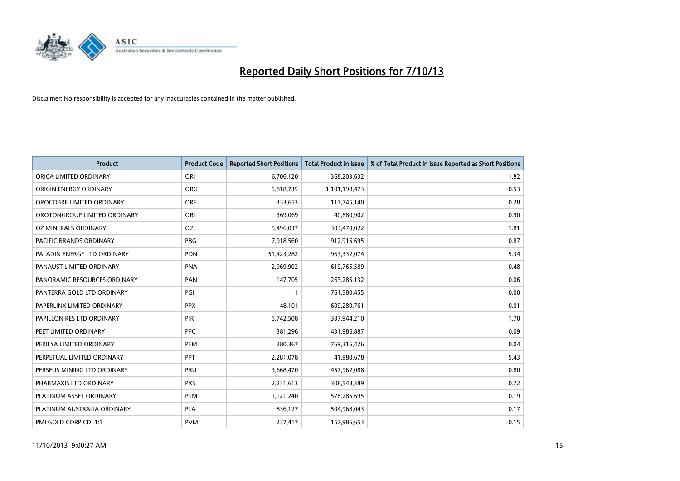

| <b>Product</b>                 | <b>Product Code</b> | <b>Reported Short Positions</b> | <b>Total Product in Issue</b> | % of Total Product in Issue Reported as Short Positions |
|--------------------------------|---------------------|---------------------------------|-------------------------------|---------------------------------------------------------|
| ORICA LIMITED ORDINARY         | ORI                 | 6,706,120                       | 368,203,632                   | 1.82                                                    |
| ORIGIN ENERGY ORDINARY         | <b>ORG</b>          | 5,818,735                       | 1,101,198,473                 | 0.53                                                    |
| OROCOBRE LIMITED ORDINARY      | <b>ORE</b>          | 333,653                         | 117,745,140                   | 0.28                                                    |
| OROTONGROUP LIMITED ORDINARY   | ORL                 | 369,069                         | 40,880,902                    | 0.90                                                    |
| OZ MINERALS ORDINARY           | OZL                 | 5,496,037                       | 303,470,022                   | 1.81                                                    |
| <b>PACIFIC BRANDS ORDINARY</b> | <b>PBG</b>          | 7,918,560                       | 912,915,695                   | 0.87                                                    |
| PALADIN ENERGY LTD ORDINARY    | <b>PDN</b>          | 51,423,282                      | 963,332,074                   | 5.34                                                    |
| PANAUST LIMITED ORDINARY       | <b>PNA</b>          | 2,969,902                       | 619,765,589                   | 0.48                                                    |
| PANORAMIC RESOURCES ORDINARY   | PAN                 | 147,705                         | 263,285,132                   | 0.06                                                    |
| PANTERRA GOLD LTD ORDINARY     | PGI                 | $\mathbf{1}$                    | 761,580,455                   | 0.00                                                    |
| PAPERLINX LIMITED ORDINARY     | <b>PPX</b>          | 48,101                          | 609,280,761                   | 0.01                                                    |
| PAPILLON RES LTD ORDINARY      | <b>PIR</b>          | 5,742,508                       | 337,944,210                   | 1.70                                                    |
| PEET LIMITED ORDINARY          | <b>PPC</b>          | 381,296                         | 431,986,887                   | 0.09                                                    |
| PERILYA LIMITED ORDINARY       | PEM                 | 280,367                         | 769,316,426                   | 0.04                                                    |
| PERPETUAL LIMITED ORDINARY     | <b>PPT</b>          | 2,281,078                       | 41,980,678                    | 5.43                                                    |
| PERSEUS MINING LTD ORDINARY    | PRU                 | 3,668,470                       | 457,962,088                   | 0.80                                                    |
| PHARMAXIS LTD ORDINARY         | <b>PXS</b>          | 2,231,613                       | 308,548,389                   | 0.72                                                    |
| PLATINUM ASSET ORDINARY        | <b>PTM</b>          | 1,121,240                       | 578,285,695                   | 0.19                                                    |
| PLATINUM AUSTRALIA ORDINARY    | <b>PLA</b>          | 836,127                         | 504,968,043                   | 0.17                                                    |
| PMI GOLD CORP CDI 1:1          | <b>PVM</b>          | 237,417                         | 157,986,653                   | 0.15                                                    |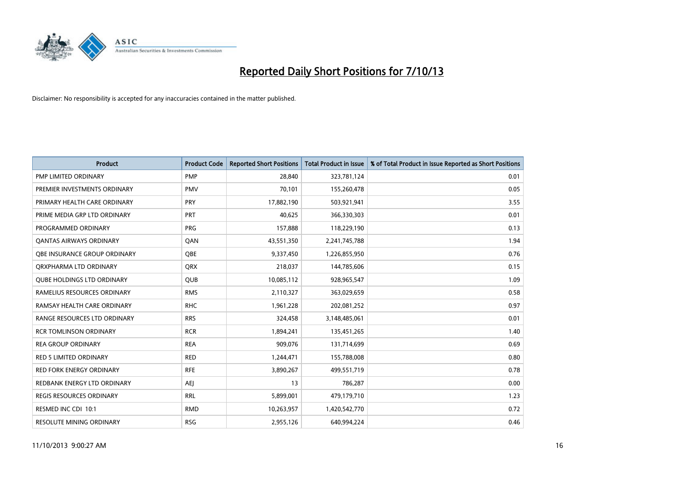

| <b>Product</b>                    | <b>Product Code</b> | <b>Reported Short Positions</b> | <b>Total Product in Issue</b> | % of Total Product in Issue Reported as Short Positions |
|-----------------------------------|---------------------|---------------------------------|-------------------------------|---------------------------------------------------------|
| <b>PMP LIMITED ORDINARY</b>       | <b>PMP</b>          | 28,840                          | 323,781,124                   | 0.01                                                    |
| PREMIER INVESTMENTS ORDINARY      | <b>PMV</b>          | 70,101                          | 155,260,478                   | 0.05                                                    |
| PRIMARY HEALTH CARE ORDINARY      | <b>PRY</b>          | 17,882,190                      | 503,921,941                   | 3.55                                                    |
| PRIME MEDIA GRP LTD ORDINARY      | <b>PRT</b>          | 40,625                          | 366,330,303                   | 0.01                                                    |
| PROGRAMMED ORDINARY               | PRG                 | 157,888                         | 118,229,190                   | 0.13                                                    |
| <b>QANTAS AIRWAYS ORDINARY</b>    | QAN                 | 43,551,350                      | 2,241,745,788                 | 1.94                                                    |
| OBE INSURANCE GROUP ORDINARY      | <b>OBE</b>          | 9,337,450                       | 1,226,855,950                 | 0.76                                                    |
| ORXPHARMA LTD ORDINARY            | <b>QRX</b>          | 218,037                         | 144,785,606                   | 0.15                                                    |
| <b>QUBE HOLDINGS LTD ORDINARY</b> | <b>QUB</b>          | 10,085,112                      | 928,965,547                   | 1.09                                                    |
| RAMELIUS RESOURCES ORDINARY       | <b>RMS</b>          | 2,110,327                       | 363,029,659                   | 0.58                                                    |
| RAMSAY HEALTH CARE ORDINARY       | <b>RHC</b>          | 1,961,228                       | 202,081,252                   | 0.97                                                    |
| RANGE RESOURCES LTD ORDINARY      | <b>RRS</b>          | 324,458                         | 3,148,485,061                 | 0.01                                                    |
| <b>RCR TOMLINSON ORDINARY</b>     | <b>RCR</b>          | 1,894,241                       | 135,451,265                   | 1.40                                                    |
| <b>REA GROUP ORDINARY</b>         | <b>REA</b>          | 909,076                         | 131,714,699                   | 0.69                                                    |
| <b>RED 5 LIMITED ORDINARY</b>     | <b>RED</b>          | 1,244,471                       | 155,788,008                   | 0.80                                                    |
| RED FORK ENERGY ORDINARY          | <b>RFE</b>          | 3,890,267                       | 499,551,719                   | 0.78                                                    |
| REDBANK ENERGY LTD ORDINARY       | <b>AEJ</b>          | 13                              | 786,287                       | 0.00                                                    |
| <b>REGIS RESOURCES ORDINARY</b>   | <b>RRL</b>          | 5,899,001                       | 479,179,710                   | 1.23                                                    |
| RESMED INC CDI 10:1               | <b>RMD</b>          | 10,263,957                      | 1,420,542,770                 | 0.72                                                    |
| <b>RESOLUTE MINING ORDINARY</b>   | <b>RSG</b>          | 2,955,126                       | 640,994,224                   | 0.46                                                    |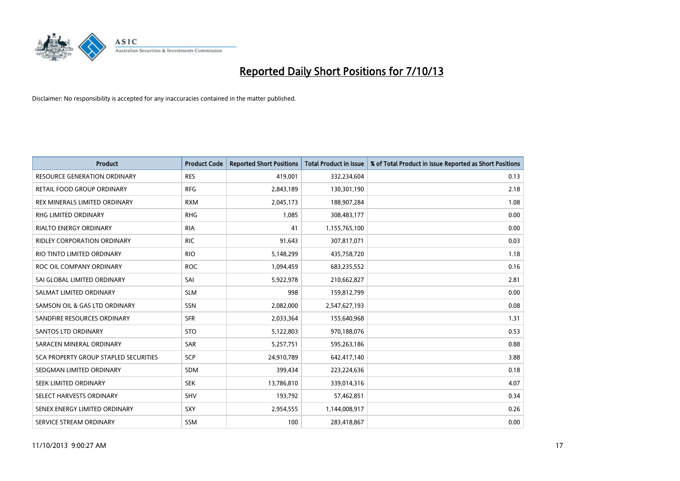

| <b>Product</b>                        | <b>Product Code</b> | <b>Reported Short Positions</b> | <b>Total Product in Issue</b> | % of Total Product in Issue Reported as Short Positions |
|---------------------------------------|---------------------|---------------------------------|-------------------------------|---------------------------------------------------------|
| <b>RESOURCE GENERATION ORDINARY</b>   | <b>RES</b>          | 419,001                         | 332,234,604                   | 0.13                                                    |
| RETAIL FOOD GROUP ORDINARY            | <b>RFG</b>          | 2,843,189                       | 130,301,190                   | 2.18                                                    |
| REX MINERALS LIMITED ORDINARY         | <b>RXM</b>          | 2,045,173                       | 188,907,284                   | 1.08                                                    |
| RHG LIMITED ORDINARY                  | <b>RHG</b>          | 1,085                           | 308,483,177                   | 0.00                                                    |
| <b>RIALTO ENERGY ORDINARY</b>         | <b>RIA</b>          | 41                              | 1,155,765,100                 | 0.00                                                    |
| <b>RIDLEY CORPORATION ORDINARY</b>    | <b>RIC</b>          | 91,643                          | 307,817,071                   | 0.03                                                    |
| RIO TINTO LIMITED ORDINARY            | <b>RIO</b>          | 5,148,299                       | 435,758,720                   | 1.18                                                    |
| ROC OIL COMPANY ORDINARY              | <b>ROC</b>          | 1,094,459                       | 683,235,552                   | 0.16                                                    |
| SAI GLOBAL LIMITED ORDINARY           | SAI                 | 5,922,978                       | 210,662,827                   | 2.81                                                    |
| SALMAT LIMITED ORDINARY               | <b>SLM</b>          | 998                             | 159,812,799                   | 0.00                                                    |
| SAMSON OIL & GAS LTD ORDINARY         | SSN                 | 2,082,000                       | 2,547,627,193                 | 0.08                                                    |
| SANDFIRE RESOURCES ORDINARY           | <b>SFR</b>          | 2,033,364                       | 155,640,968                   | 1.31                                                    |
| SANTOS LTD ORDINARY                   | <b>STO</b>          | 5,122,803                       | 970,188,076                   | 0.53                                                    |
| SARACEN MINERAL ORDINARY              | SAR                 | 5,257,751                       | 595,263,186                   | 0.88                                                    |
| SCA PROPERTY GROUP STAPLED SECURITIES | SCP                 | 24,910,789                      | 642,417,140                   | 3.88                                                    |
| SEDGMAN LIMITED ORDINARY              | SDM                 | 399,434                         | 223,224,636                   | 0.18                                                    |
| SEEK LIMITED ORDINARY                 | <b>SEK</b>          | 13,786,810                      | 339,014,316                   | 4.07                                                    |
| SELECT HARVESTS ORDINARY              | <b>SHV</b>          | 193,792                         | 57,462,851                    | 0.34                                                    |
| SENEX ENERGY LIMITED ORDINARY         | <b>SXY</b>          | 2,954,555                       | 1,144,008,917                 | 0.26                                                    |
| SERVICE STREAM ORDINARY               | SSM                 | 100                             | 283,418,867                   | 0.00                                                    |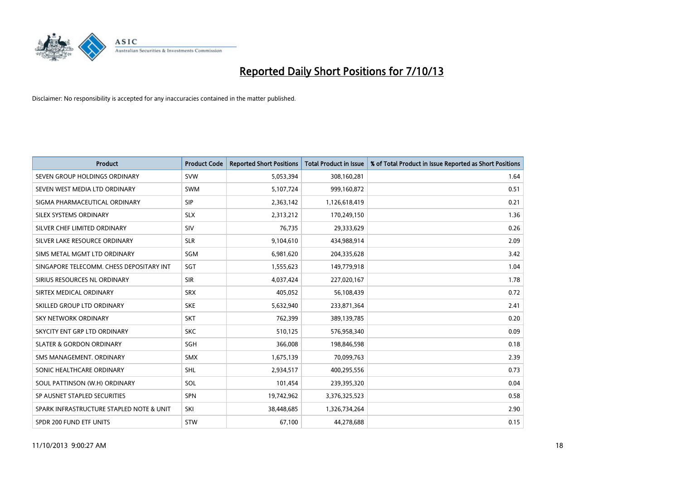

| <b>Product</b>                           | <b>Product Code</b> | <b>Reported Short Positions</b> | <b>Total Product in Issue</b> | % of Total Product in Issue Reported as Short Positions |
|------------------------------------------|---------------------|---------------------------------|-------------------------------|---------------------------------------------------------|
| SEVEN GROUP HOLDINGS ORDINARY            | <b>SVW</b>          | 5,053,394                       | 308,160,281                   | 1.64                                                    |
| SEVEN WEST MEDIA LTD ORDINARY            | <b>SWM</b>          | 5,107,724                       | 999,160,872                   | 0.51                                                    |
| SIGMA PHARMACEUTICAL ORDINARY            | <b>SIP</b>          | 2,363,142                       | 1,126,618,419                 | 0.21                                                    |
| SILEX SYSTEMS ORDINARY                   | <b>SLX</b>          | 2,313,212                       | 170,249,150                   | 1.36                                                    |
| SILVER CHEF LIMITED ORDINARY             | SIV                 | 76,735                          | 29,333,629                    | 0.26                                                    |
| SILVER LAKE RESOURCE ORDINARY            | <b>SLR</b>          | 9,104,610                       | 434,988,914                   | 2.09                                                    |
| SIMS METAL MGMT LTD ORDINARY             | SGM                 | 6,981,620                       | 204,335,628                   | 3.42                                                    |
| SINGAPORE TELECOMM. CHESS DEPOSITARY INT | <b>SGT</b>          | 1,555,623                       | 149,779,918                   | 1.04                                                    |
| SIRIUS RESOURCES NL ORDINARY             | <b>SIR</b>          | 4,037,424                       | 227,020,167                   | 1.78                                                    |
| SIRTEX MEDICAL ORDINARY                  | <b>SRX</b>          | 405,052                         | 56,108,439                    | 0.72                                                    |
| SKILLED GROUP LTD ORDINARY               | <b>SKE</b>          | 5,632,940                       | 233,871,364                   | 2.41                                                    |
| <b>SKY NETWORK ORDINARY</b>              | <b>SKT</b>          | 762,399                         | 389,139,785                   | 0.20                                                    |
| SKYCITY ENT GRP LTD ORDINARY             | <b>SKC</b>          | 510,125                         | 576,958,340                   | 0.09                                                    |
| <b>SLATER &amp; GORDON ORDINARY</b>      | SGH                 | 366,008                         | 198,846,598                   | 0.18                                                    |
| SMS MANAGEMENT, ORDINARY                 | <b>SMX</b>          | 1,675,139                       | 70,099,763                    | 2.39                                                    |
| SONIC HEALTHCARE ORDINARY                | <b>SHL</b>          | 2,934,517                       | 400,295,556                   | 0.73                                                    |
| SOUL PATTINSON (W.H) ORDINARY            | SOL                 | 101,454                         | 239,395,320                   | 0.04                                                    |
| SP AUSNET STAPLED SECURITIES             | <b>SPN</b>          | 19,742,962                      | 3,376,325,523                 | 0.58                                                    |
| SPARK INFRASTRUCTURE STAPLED NOTE & UNIT | SKI                 | 38,448,685                      | 1,326,734,264                 | 2.90                                                    |
| SPDR 200 FUND ETF UNITS                  | <b>STW</b>          | 67,100                          | 44,278,688                    | 0.15                                                    |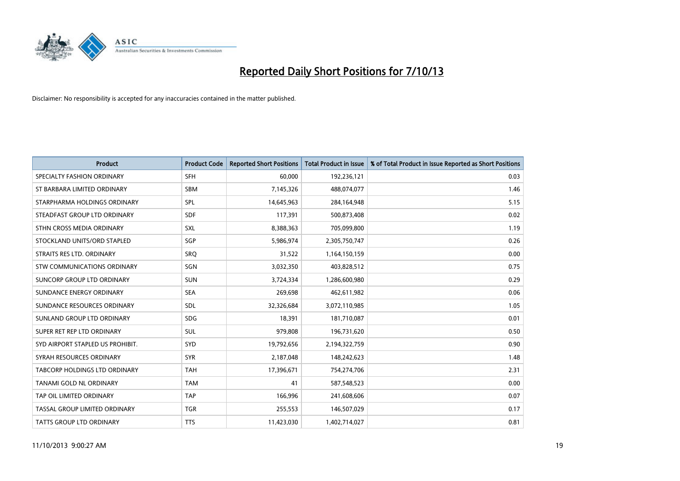

| <b>Product</b>                   | <b>Product Code</b> | <b>Reported Short Positions</b> | <b>Total Product in Issue</b> | % of Total Product in Issue Reported as Short Positions |
|----------------------------------|---------------------|---------------------------------|-------------------------------|---------------------------------------------------------|
| SPECIALTY FASHION ORDINARY       | <b>SFH</b>          | 60,000                          | 192,236,121                   | 0.03                                                    |
| ST BARBARA LIMITED ORDINARY      | SBM                 | 7,145,326                       | 488,074,077                   | 1.46                                                    |
| STARPHARMA HOLDINGS ORDINARY     | <b>SPL</b>          | 14,645,963                      | 284,164,948                   | 5.15                                                    |
| STEADFAST GROUP LTD ORDINARY     | <b>SDF</b>          | 117,391                         | 500,873,408                   | 0.02                                                    |
| STHN CROSS MEDIA ORDINARY        | <b>SXL</b>          | 8,388,363                       | 705,099,800                   | 1.19                                                    |
| STOCKLAND UNITS/ORD STAPLED      | SGP                 | 5,986,974                       | 2,305,750,747                 | 0.26                                                    |
| STRAITS RES LTD. ORDINARY        | SRQ                 | 31,522                          | 1,164,150,159                 | 0.00                                                    |
| STW COMMUNICATIONS ORDINARY      | <b>SGN</b>          | 3,032,350                       | 403,828,512                   | 0.75                                                    |
| SUNCORP GROUP LTD ORDINARY       | <b>SUN</b>          | 3,724,334                       | 1,286,600,980                 | 0.29                                                    |
| SUNDANCE ENERGY ORDINARY         | <b>SEA</b>          | 269,698                         | 462,611,982                   | 0.06                                                    |
| SUNDANCE RESOURCES ORDINARY      | <b>SDL</b>          | 32,326,684                      | 3,072,110,985                 | 1.05                                                    |
| SUNLAND GROUP LTD ORDINARY       | <b>SDG</b>          | 18,391                          | 181,710,087                   | 0.01                                                    |
| SUPER RET REP LTD ORDINARY       | <b>SUL</b>          | 979,808                         | 196,731,620                   | 0.50                                                    |
| SYD AIRPORT STAPLED US PROHIBIT. | SYD                 | 19,792,656                      | 2,194,322,759                 | 0.90                                                    |
| SYRAH RESOURCES ORDINARY         | <b>SYR</b>          | 2,187,048                       | 148,242,623                   | 1.48                                                    |
| TABCORP HOLDINGS LTD ORDINARY    | <b>TAH</b>          | 17,396,671                      | 754,274,706                   | 2.31                                                    |
| <b>TANAMI GOLD NL ORDINARY</b>   | <b>TAM</b>          | 41                              | 587,548,523                   | 0.00                                                    |
| TAP OIL LIMITED ORDINARY         | <b>TAP</b>          | 166,996                         | 241,608,606                   | 0.07                                                    |
| TASSAL GROUP LIMITED ORDINARY    | <b>TGR</b>          | 255,553                         | 146,507,029                   | 0.17                                                    |
| <b>TATTS GROUP LTD ORDINARY</b>  | <b>TTS</b>          | 11,423,030                      | 1,402,714,027                 | 0.81                                                    |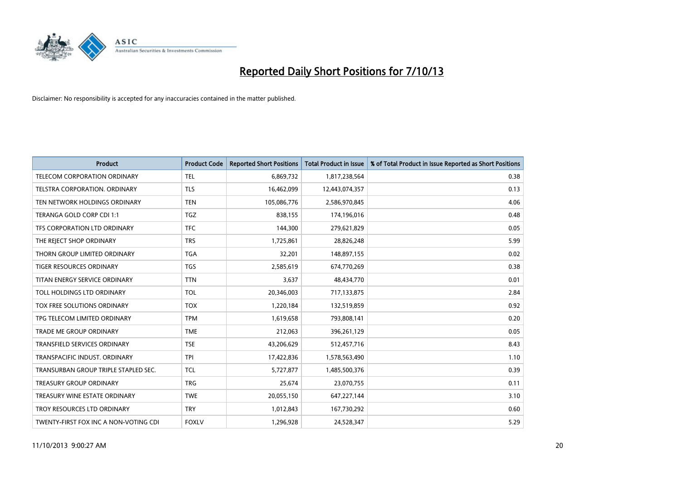

| <b>Product</b>                        | <b>Product Code</b> | <b>Reported Short Positions</b> | <b>Total Product in Issue</b> | % of Total Product in Issue Reported as Short Positions |
|---------------------------------------|---------------------|---------------------------------|-------------------------------|---------------------------------------------------------|
| TELECOM CORPORATION ORDINARY          | <b>TEL</b>          | 6,869,732                       | 1,817,238,564                 | 0.38                                                    |
| TELSTRA CORPORATION, ORDINARY         | <b>TLS</b>          | 16,462,099                      | 12,443,074,357                | 0.13                                                    |
| TEN NETWORK HOLDINGS ORDINARY         | <b>TEN</b>          | 105,086,776                     | 2,586,970,845                 | 4.06                                                    |
| TERANGA GOLD CORP CDI 1:1             | <b>TGZ</b>          | 838,155                         | 174,196,016                   | 0.48                                                    |
| TFS CORPORATION LTD ORDINARY          | <b>TFC</b>          | 144,300                         | 279,621,829                   | 0.05                                                    |
| THE REJECT SHOP ORDINARY              | <b>TRS</b>          | 1,725,861                       | 28,826,248                    | 5.99                                                    |
| THORN GROUP LIMITED ORDINARY          | <b>TGA</b>          | 32,201                          | 148,897,155                   | 0.02                                                    |
| <b>TIGER RESOURCES ORDINARY</b>       | <b>TGS</b>          | 2,585,619                       | 674,770,269                   | 0.38                                                    |
| TITAN ENERGY SERVICE ORDINARY         | <b>TTN</b>          | 3,637                           | 48,434,770                    | 0.01                                                    |
| TOLL HOLDINGS LTD ORDINARY            | <b>TOL</b>          | 20,346,003                      | 717,133,875                   | 2.84                                                    |
| TOX FREE SOLUTIONS ORDINARY           | <b>TOX</b>          | 1,220,184                       | 132,519,859                   | 0.92                                                    |
| TPG TELECOM LIMITED ORDINARY          | <b>TPM</b>          | 1,619,658                       | 793,808,141                   | 0.20                                                    |
| <b>TRADE ME GROUP ORDINARY</b>        | <b>TME</b>          | 212,063                         | 396,261,129                   | 0.05                                                    |
| <b>TRANSFIELD SERVICES ORDINARY</b>   | <b>TSE</b>          | 43,206,629                      | 512,457,716                   | 8.43                                                    |
| TRANSPACIFIC INDUST, ORDINARY         | <b>TPI</b>          | 17,422,836                      | 1,578,563,490                 | 1.10                                                    |
| TRANSURBAN GROUP TRIPLE STAPLED SEC.  | <b>TCL</b>          | 5,727,877                       | 1,485,500,376                 | 0.39                                                    |
| <b>TREASURY GROUP ORDINARY</b>        | <b>TRG</b>          | 25,674                          | 23,070,755                    | 0.11                                                    |
| TREASURY WINE ESTATE ORDINARY         | <b>TWE</b>          | 20,055,150                      | 647,227,144                   | 3.10                                                    |
| TROY RESOURCES LTD ORDINARY           | <b>TRY</b>          | 1,012,843                       | 167,730,292                   | 0.60                                                    |
| TWENTY-FIRST FOX INC A NON-VOTING CDI | <b>FOXLV</b>        | 1,296,928                       | 24,528,347                    | 5.29                                                    |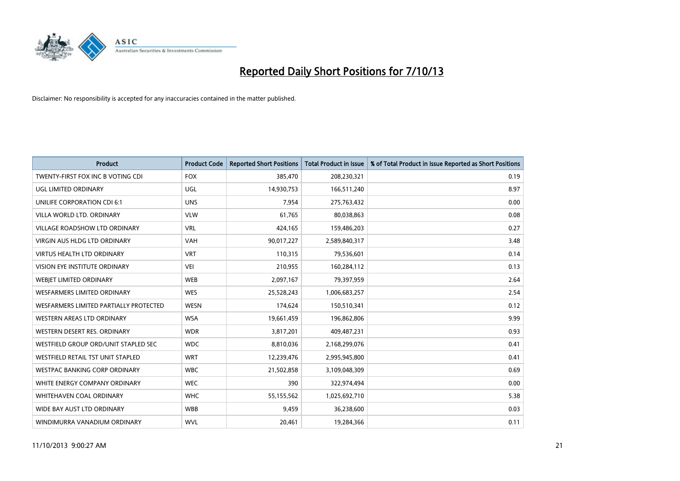

| <b>Product</b>                         | <b>Product Code</b> | <b>Reported Short Positions</b> | <b>Total Product in Issue</b> | % of Total Product in Issue Reported as Short Positions |
|----------------------------------------|---------------------|---------------------------------|-------------------------------|---------------------------------------------------------|
| TWENTY-FIRST FOX INC B VOTING CDI      | <b>FOX</b>          | 385,470                         | 208,230,321                   | 0.19                                                    |
| UGL LIMITED ORDINARY                   | UGL                 | 14,930,753                      | 166,511,240                   | 8.97                                                    |
| UNILIFE CORPORATION CDI 6:1            | <b>UNS</b>          | 7,954                           | 275,763,432                   | 0.00                                                    |
| VILLA WORLD LTD. ORDINARY              | <b>VLW</b>          | 61,765                          | 80,038,863                    | 0.08                                                    |
| <b>VILLAGE ROADSHOW LTD ORDINARY</b>   | <b>VRL</b>          | 424,165                         | 159,486,203                   | 0.27                                                    |
| <b>VIRGIN AUS HLDG LTD ORDINARY</b>    | <b>VAH</b>          | 90,017,227                      | 2,589,840,317                 | 3.48                                                    |
| <b>VIRTUS HEALTH LTD ORDINARY</b>      | <b>VRT</b>          | 110,315                         | 79,536,601                    | 0.14                                                    |
| VISION EYE INSTITUTE ORDINARY          | <b>VEI</b>          | 210,955                         | 160,284,112                   | 0.13                                                    |
| WEBJET LIMITED ORDINARY                | <b>WEB</b>          | 2,097,167                       | 79,397,959                    | 2.64                                                    |
| <b>WESFARMERS LIMITED ORDINARY</b>     | <b>WES</b>          | 25,528,243                      | 1,006,683,257                 | 2.54                                                    |
| WESFARMERS LIMITED PARTIALLY PROTECTED | <b>WESN</b>         | 174,624                         | 150,510,341                   | 0.12                                                    |
| <b>WESTERN AREAS LTD ORDINARY</b>      | <b>WSA</b>          | 19,661,459                      | 196,862,806                   | 9.99                                                    |
| WESTERN DESERT RES. ORDINARY           | <b>WDR</b>          | 3,817,201                       | 409,487,231                   | 0.93                                                    |
| WESTFIELD GROUP ORD/UNIT STAPLED SEC   | <b>WDC</b>          | 8,810,036                       | 2,168,299,076                 | 0.41                                                    |
| WESTFIELD RETAIL TST UNIT STAPLED      | <b>WRT</b>          | 12,239,476                      | 2,995,945,800                 | 0.41                                                    |
| WESTPAC BANKING CORP ORDINARY          | <b>WBC</b>          | 21,502,858                      | 3,109,048,309                 | 0.69                                                    |
| WHITE ENERGY COMPANY ORDINARY          | <b>WEC</b>          | 390                             | 322,974,494                   | 0.00                                                    |
| WHITEHAVEN COAL ORDINARY               | <b>WHC</b>          | 55,155,562                      | 1,025,692,710                 | 5.38                                                    |
| WIDE BAY AUST LTD ORDINARY             | <b>WBB</b>          | 9,459                           | 36,238,600                    | 0.03                                                    |
| WINDIMURRA VANADIUM ORDINARY           | <b>WVL</b>          | 20,461                          | 19,284,366                    | 0.11                                                    |